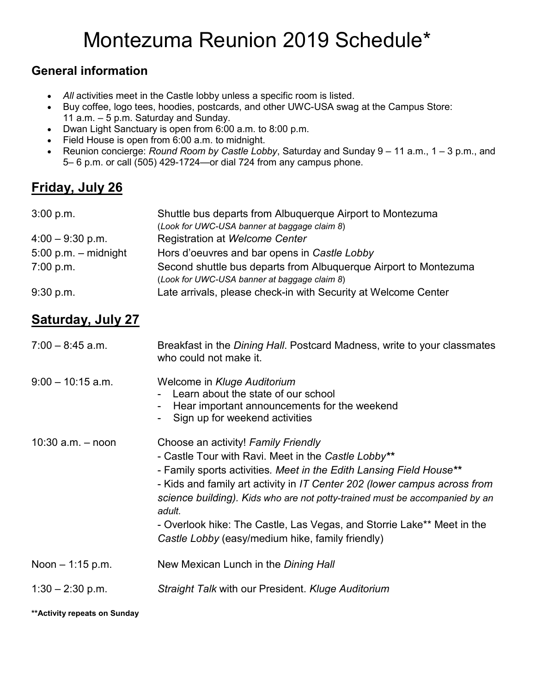# Montezuma Reunion 2019 Schedule\*

#### **General information**

- All activities meet in the Castle lobby unless a specific room is listed.
- Buy coffee, logo tees, hoodies, postcards, and other UWC-USA swag at the Campus Store: 11 a.m. – 5 p.m. Saturday and Sunday.
- Dwan Light Sanctuary is open from 6:00 a.m. to 8:00 p.m.
- Field House is open from 6:00 a.m. to midnight.
- Reunion concierge: *Round Room by Castle Lobby*, Saturday and Sunday 9 11 a.m., 1 3 p.m., and 5– 6 p.m. or call (505) 429-1724—or dial 724 from any campus phone.

## **Friday, July 26**

| 3:00 p.m.              | Shuttle bus departs from Albuquerque Airport to Montezuma        |
|------------------------|------------------------------------------------------------------|
|                        | (Look for UWC-USA banner at baggage claim 8)                     |
| $4:00 - 9:30$ p.m.     | Registration at Welcome Center                                   |
| $5:00$ p.m. - midnight | Hors d'oeuvres and bar opens in Castle Lobby                     |
| 7:00 p.m.              | Second shuttle bus departs from Albuquerque Airport to Montezuma |
|                        | (Look for UWC-USA banner at baggage claim 8)                     |
| 9:30 p.m.              | Late arrivals, please check-in with Security at Welcome Center   |

### **Saturday, July 27**

| $7:00 - 8:45$ a.m.    | Breakfast in the <i>Dining Hall</i> . Postcard Madness, write to your classmates<br>who could not make it.                                                                                                                                                                                                                                                                                                                                                            |
|-----------------------|-----------------------------------------------------------------------------------------------------------------------------------------------------------------------------------------------------------------------------------------------------------------------------------------------------------------------------------------------------------------------------------------------------------------------------------------------------------------------|
| $9:00 - 10:15$ a.m.   | Welcome in Kluge Auditorium<br>Learn about the state of our school<br>Hear important announcements for the weekend<br>Sign up for weekend activities                                                                                                                                                                                                                                                                                                                  |
| $10:30$ a.m. $-$ noon | Choose an activity! Family Friendly<br>- Castle Tour with Ravi. Meet in the Castle Lobby**<br>- Family sports activities. Meet in the Edith Lansing Field House**<br>- Kids and family art activity in IT Center 202 (lower campus across from<br>science building). Kids who are not potty-trained must be accompanied by an<br>adult.<br>- Overlook hike: The Castle, Las Vegas, and Storrie Lake** Meet in the<br>Castle Lobby (easy/medium hike, family friendly) |
| Noon $-1:15$ p.m.     | New Mexican Lunch in the Dining Hall                                                                                                                                                                                                                                                                                                                                                                                                                                  |
| $1:30 - 2:30$ p.m.    | Straight Talk with our President. Kluge Auditorium                                                                                                                                                                                                                                                                                                                                                                                                                    |

**\*\*Activity repeats on Sunday**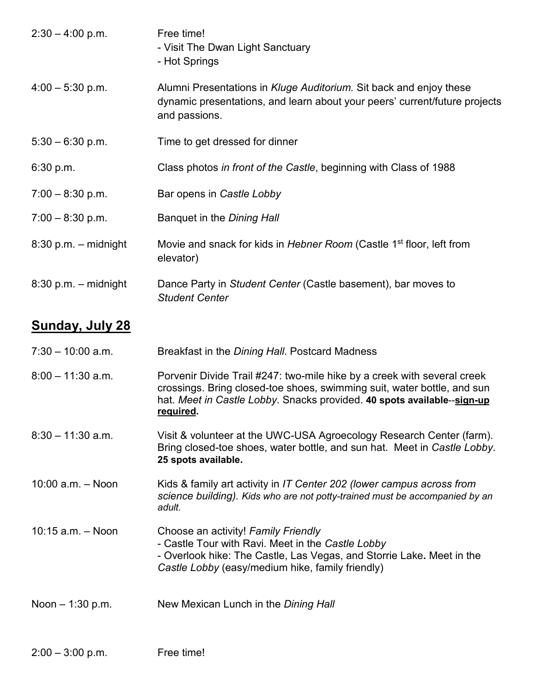| $2:30 - 4:00$ p.m.     | Free time!<br>- Visit The Dwan Light Sanctuary<br>- Hot Springs                                                                                                                                                                                    |
|------------------------|----------------------------------------------------------------------------------------------------------------------------------------------------------------------------------------------------------------------------------------------------|
| $4:00 - 5:30$ p.m.     | Alumni Presentations in Kluge Auditorium. Sit back and enjoy these<br>dynamic presentations, and learn about your peers' current/future projects<br>and passions.                                                                                  |
| $5:30 - 6:30$ p.m.     | Time to get dressed for dinner                                                                                                                                                                                                                     |
| 6:30 p.m.              | Class photos in front of the Castle, beginning with Class of 1988                                                                                                                                                                                  |
| $7:00 - 8:30$ p.m.     | Bar opens in Castle Lobby                                                                                                                                                                                                                          |
| $7:00 - 8:30$ p.m.     | Banquet in the Dining Hall                                                                                                                                                                                                                         |
| $8:30$ p.m. - midnight | Movie and snack for kids in Hebner Room (Castle 1 <sup>st</sup> floor, left from<br>elevator)                                                                                                                                                      |
| $8:30$ p.m. – midnight | Dance Party in Student Center (Castle basement), bar moves to<br><b>Student Center</b>                                                                                                                                                             |
| <b>Sunday, July 28</b> |                                                                                                                                                                                                                                                    |
| $7:30 - 10:00$ a.m.    | Breakfast in the Dining Hall. Postcard Madness                                                                                                                                                                                                     |
| $8:00 - 11:30$ a.m.    | Porvenir Divide Trail #247: two-mile hike by a creek with several creek<br>crossings. Bring closed-toe shoes, swimming suit, water bottle, and sun<br>hat. Meet in Castle Lobby. Snacks provided. 40 spots available--sign-up<br><u>required</u> . |
| $8:30 - 11:30$ a.m.    | Visit & volunteer at the UWC-USA Agroecology Research Center (farm).<br>Bring closed-toe shoes, water bottle, and sun hat. Meet in Castle Lobby.<br>25 spots available.                                                                            |
| $10:00$ a.m. $-$ Noon  | Kids & family art activity in IT Center 202 (lower campus across from<br>science building). Kids who are not potty-trained must be accompanied by an<br>adult.                                                                                     |
| $10:15$ a.m. $-$ Noon  | Choose an activity! Family Friendly<br>- Castle Tour with Ravi. Meet in the Castle Lobby<br>- Overlook hike: The Castle, Las Vegas, and Storrie Lake. Meet in the<br>Castle Lobby (easy/medium hike, family friendly)                              |
| Noon $-1:30$ p.m.      | New Mexican Lunch in the Dining Hall                                                                                                                                                                                                               |